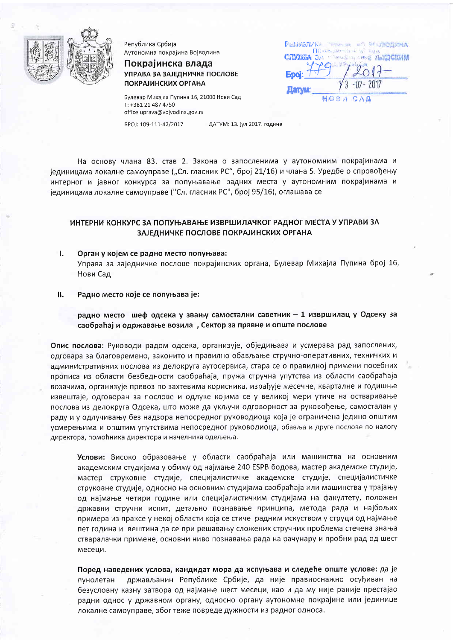

Република Србија Аутономна покрајина Војводина

Покрајинска влада УПРАВА ЗА ЗАЈЕДНИЧКЕ ПОСЛОВЕ **ПОКРАЈИНСКИХ ОРГАНА** 

Булевар Михајла Пупина 16, 21000 Нови Сад T: +381 21 487 4750 office.uprava@vojvodina.gov.rs

EPOJ: 109-111-42/2017

ДАТУМ: 13. јул 2017. године

РЕПУБЛИК-

TRIAL AT MISSODINMA

HOBM CAD

На основу члана 83. став 2. Закона о запосленима у аутономним покрајинама и јединицама локалне самоуправе ("Сл. гласник РС", број 21/16) и члана 5. Уредбе о спровођењу интерног и јавног конкурса за попуњавање радних места у аутономним покрајинама и јединицама локалне самоуправе ("Сл. гласник РС", број 95/16), оглашава се

# ИНТЕРНИ КОНКУРС ЗА ПОПУЊАВАЊЕ ИЗВРШИЛАЧКОГ РАДНОГ МЕСТА У УПРАВИ ЗА ЗАЈЕДНИЧКЕ ПОСЛОВЕ ПОКРАЈИНСКИХ ОРГАНА

- T. Орган у којем се радно место попуњава: Управа за заједничке послове покрајинских органа, Булевар Михајла Пупина број 16, Нови Сад
- П. Радно место које се попуњава је:

радно место шеф одсека у звању самостални саветник - 1 извршилац у Одсеку за саобраћај и одржавање возила, Сектор за правне и опште послове

Опис послова: Руководи радом одсека, организује, обједињава и усмерава рад запослених, одговара за благовремено, законито и правилно обављање стручно-оперативних, техничких и административних послова из делокруга аутосервиса, стара се о правилној примени посебних прописа из области безбедности саобраћаја, пружа стручна упутства из области саобраћаја возачима, организује превоз по захтевима корисника, израђује месечне, кварталне и годишње извештаје, одговоран за послове и одлуке којима се у великој мери утиче на остваривање послова из делокруга Одсека, што може да укључи одговорност за руковођење, самосталан у раду и у одлучивању без надзора непосредног руководиоца која је ограничена једино општим усмерењима и општим упутствима непосредног руководиоца, обавља и друге послове по налогу директора, помоћника директора и начелника одељења.

Услови: Високо образовање у области саобраћаја или машинства на основним академским студијама у обиму од најмање 240 ESPB бодова, мастер академске студије, мастер струковне студије, специјалистичке академске студије, специјалистичке струковне студије, односно на основним студијама саобраћаја или машинства у трајању од најмање четири године или специјалистичким студијама на факултету, положен државни стручни испит, детаљно познавање принципа, метода рада и најбољих примера из праксе у некој области која се стиче радним искуством у струци од најмање пет година и вештина да се при решавању сложених стручних проблема стечена знања стваралачки примене, основни ниво познавања рада на рачунару и пробни рад од шест месеци.

Поред наведених услова, кандидат мора да испуњава и следеће опште услове: да је држављанин Републике Србије, да није правноснажно осуђиван на пунолетан безусловну казну затвора од најмање шест месеци, као и да му није раније престајао радни однос у државном органу, односно органу аутономне покрајине или јединице локалне самоуправе, због теже повреде дужности из радног односа.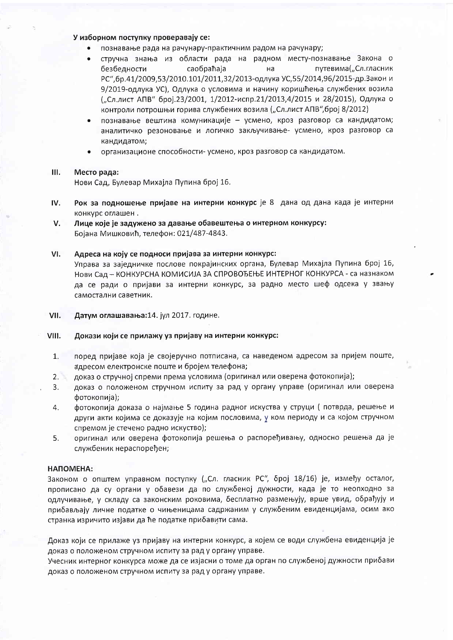# У изборном поступку проверавају се:

- познавање рада на рачунару-практичним радом на рачунару;
- стручна знања из области рада на радном месту-познавање Закона о путевима("Сл.гласник безбедности cao6paħaja на РС", бр.41/2009, 53/2010.101/2011, 32/2013-одлука УС, 55/2014, 96/2015-др. Закон и 9/2019-одлука УС), Одлука о условима и начину коришћења службених возила ("Сл.лист АПВ" број.23/2001, 1/2012-испр.21/2013,4/2015 и 28/2015), Одлука о контроли потрошњи горива службених возила ("Сл.лист АПВ", број 8/2012)
- познавање вештина комуникације усмено, кроз разговор са кандидатом; аналитичко резоновање и логичко закључивање- усмено, кроз разговор са кандидатом;
- организационе способности- усмено, кроз разговор са кандидатом.

#### $III.$ Место рада:

Нови Сад, Булевар Михајла Пупина број 16.

- IV. Рок за подношење пријаве на интерни конкурс је 8 дана од дана када је интерни конкурс оглашен.
- Лице које је задужено за давање обавештења о интерном конкурсу: V. Бојана Мишковић, телефон: 021/487-4843.

#### VI. Адреса на коју се подноси пријава за интерни конкурс:

Управа за заједничке послове покрајинских органа, Булевар Михајла Пупина број 16, Нови Сад - КОНКУРСНА КОМИСИЈА ЗА СПРОВОЂЕЊЕ ИНТЕРНОГ КОНКУРСА - са назнаком да се ради о пријави за интерни конкурс, за радно место шеф одсека у звању самостални саветник.

VII. Датум оглашавања: 14. јул 2017. године.

#### VIII. Докази који се прилажу уз пријаву на интерни конкурс:

- поред пријаве која је својеручно потписана, са наведеном адресом за пријем поште,  $1<sub>1</sub>$ адресом електронске поште и бројем телефона;
- доказ о стручној спреми према условима (оригинал или оверена фотокопија);  $2.$
- доказ о положеном стручном испиту за рад у органу управе (оригинал или оверена 3. фотокопија);
- фотокопија доказа о најмање 5 година радног искуства у струци (потврда, решење и 4. други акти којима се доказује на којим пословима, у ком периоду и са којом стручном спремом је стечено радно искуство);
- оригинал или оверена фотокопија решења о распоређивању, односно решења да је 5. службеник нераспоређен;

## **HANOMEHA:**

Законом о општем управном поступку ("Сл. гласник РС", број 18/16) је, између осталог, прописано да су органи у обавези да по службеној дужности, када је то неопходно за одлучивање, у складу са законским роковима, бесплатно размењују, врше увид, обрађују и прибављају личне податке о чињеницама садржаним у службеним евиденцијама, осим ако странка изричито изјави да ће податке прибавити сама.

Доказ који се прилаже уз пријаву на интерни конкурс, а којем се води службена евиденција је доказ о положеном стручном испиту за рад у органу управе.

Учесник интерног конкурса може да се изјасни о томе да орган по службеној дужности прибави доказ о положеном стручном испиту за рад у органу управе.